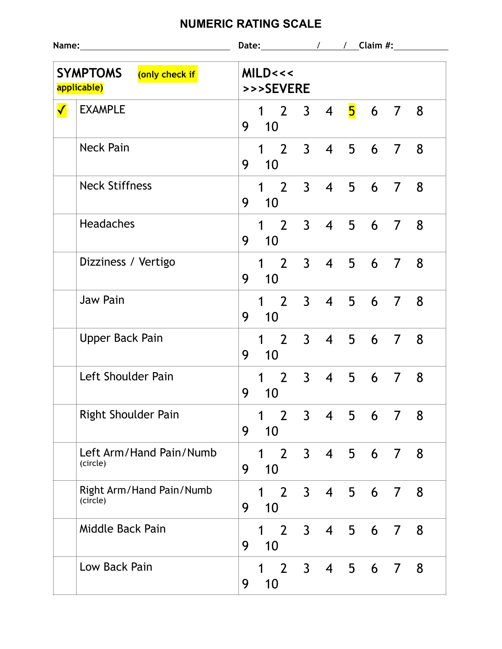## **NUMERIC RATING SCALE**

|                                                  |                                      | Date: $\sqrt{ }$ / $\sqrt{ }$ Claim #:                                                                        |  |  |  |  |  |  |  |  |
|--------------------------------------------------|--------------------------------------|---------------------------------------------------------------------------------------------------------------|--|--|--|--|--|--|--|--|
| <b>SYMPTOMS</b><br>(only check if<br>applicable) |                                      | MILD<<<<br>>>>SEVERE                                                                                          |  |  |  |  |  |  |  |  |
| $\blacklozenge$                                  | <b>EXAMPLE</b>                       | 5 6 7 8<br>$1\quad 2$<br>$3 \quad 4$<br>9<br>10 <sup>°</sup>                                                  |  |  |  |  |  |  |  |  |
|                                                  | <b>Neck Pain</b>                     | $1\quad 2$<br>3 <sup>7</sup><br>$\overline{4}$<br>5 6 7<br>8<br>9<br>10                                       |  |  |  |  |  |  |  |  |
|                                                  | <b>Neck Stiffness</b>                | $1 \t2 \t3 \t4 \t5 \t6 \t7$<br>8 <sup>8</sup><br>9<br>10                                                      |  |  |  |  |  |  |  |  |
|                                                  | <b>Headaches</b>                     | $1\quad 2\quad 3\quad 4\quad 5\quad 6\quad 7$<br>8<br>9<br>$\overline{10}$                                    |  |  |  |  |  |  |  |  |
|                                                  | Dizziness / Vertigo                  | $1\quad 2$<br>$3 \quad 4$<br>5 6 7<br>8<br>9<br>10                                                            |  |  |  |  |  |  |  |  |
|                                                  | <b>Jaw Pain</b>                      | $1\quad 2$<br>3 4 5 6 7<br>8<br>9<br>10                                                                       |  |  |  |  |  |  |  |  |
|                                                  | <b>Upper Back Pain</b>               | 1 2 3 4 5 6 7 8<br>9<br>10                                                                                    |  |  |  |  |  |  |  |  |
|                                                  | Left Shoulder Pain                   | 1 2 3 4 5 6 7 8<br>9<br>10                                                                                    |  |  |  |  |  |  |  |  |
|                                                  | <b>Right Shoulder Pain</b>           | $2^{\circ}$<br>3 <sup>7</sup><br>$\overline{4}$<br>5<br>1<br>6<br>8<br>7<br>9<br>10                           |  |  |  |  |  |  |  |  |
|                                                  | Left Arm/Hand Pain/Numb<br>(circle)  | $2 \overline{ }$<br>3 <sup>7</sup><br>$\overline{4}$<br>$1 \quad$<br>5<br>8<br>6<br>$\overline{7}$<br>9<br>10 |  |  |  |  |  |  |  |  |
|                                                  | Right Arm/Hand Pain/Numb<br>(circle) | $2 \quad 3$<br>$\overline{4}$<br>5<br>6<br>8<br>$\overline{7}$<br>$\mathbf 1$<br>9<br>10                      |  |  |  |  |  |  |  |  |
|                                                  | Middle Back Pain                     | 2 <sup>1</sup><br>$\overline{4}$<br>3 <sup>7</sup><br>5<br>8<br>6<br>1<br>$\overline{7}$<br>9<br>10           |  |  |  |  |  |  |  |  |
|                                                  | Low Back Pain                        | $2^{\circ}$<br>3 <sup>7</sup><br>5<br>$\overline{4}$<br>8<br>1<br>6<br>7<br>10<br>9                           |  |  |  |  |  |  |  |  |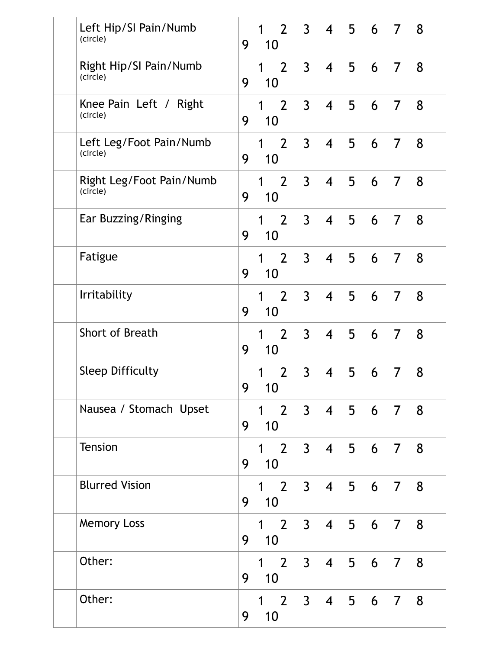| Left Hip/SI Pain/Numb<br>(circle)    | 9 | $2^{\circ}$<br>1<br>10              | 3 <sup>7</sup> |                          |                |   | 4 5 6 7 8      |   |
|--------------------------------------|---|-------------------------------------|----------------|--------------------------|----------------|---|----------------|---|
| Right Hip/SI Pain/Numb<br>(circle)   | 9 | $\overline{2}$<br>$\mathbf 1$<br>10 | $\overline{3}$ | $\overline{4}$           | 5 <sup>5</sup> | 6 | $\overline{7}$ | 8 |
| Knee Pain Left / Right<br>(circle)   | 9 | $2^{\circ}$<br>$\mathbf 1$<br>10    | $\mathbf{3}$   | $\overline{\mathcal{A}}$ | 5              | 6 | $\overline{7}$ | 8 |
| Left Leg/Foot Pain/Numb<br>(circle)  | 9 | $2^{\circ}$<br>1<br>10              | $\mathsf{3}$   | $\overline{\mathcal{A}}$ | 5              | 6 | $\overline{7}$ | 8 |
| Right Leg/Foot Pain/Numb<br>(circle) | 9 | 2 <sup>1</sup><br>1<br>10           | $\overline{3}$ | $\overline{4}$           | 5              | 6 | 7              | 8 |
| Ear Buzzing/Ringing                  | 9 | $2^{\circ}$<br>1<br>10              | $\mathbf{3}$   | $\overline{\mathcal{A}}$ | 5              | 6 | 7              | 8 |
| Fatigue                              | 9 | $2^{\circ}$<br>1<br>10              | $\mathbf{3}$   | $\overline{4}$           | 5              | 6 | 7              | 8 |
| Irritability                         | 9 | $2^{\circ}$<br>1<br>10              | $\overline{3}$ | $\overline{4}$           | 5              | 6 | $\overline{7}$ | 8 |
| Short of Breath                      | 9 | $2^{\circ}$<br>1<br>10              | $\mathfrak{Z}$ | $\overline{4}$           | 5 <sup>5</sup> | 6 | $\overline{7}$ | 8 |
| <b>Sleep Difficulty</b>              | 9 | 2 <sup>2</sup><br>1<br>10           | $\mathsf{3}$   | $\overline{4}$           | 5              | 6 | 7              | 8 |
| Nausea / Stomach Upset               | 9 | $\overline{2}$<br>$\mathbf 1$<br>10 |                | 3 4 5 6 7                |                |   |                | 8 |
| <b>Tension</b>                       | 9 | $\overline{2}$<br>$\mathbf 1$<br>10 | $\mathsf{3}$   | $\overline{4}$           |                |   | 5 6 7          | 8 |
| <b>Blurred Vision</b>                | 9 | $\overline{2}$<br>$\mathbf 1$<br>10 | $\mathbf{3}$   | $\overline{\mathcal{A}}$ |                |   | 5 6 7 8        |   |
| <b>Memory Loss</b>                   | 9 | $\overline{2}$<br>$\mathbf 1$<br>10 | 3 <sup>7</sup> | $\overline{4}$           | 5 <sub>5</sub> | 6 | $\overline{7}$ | 8 |
| Other:                               | 9 | $2^{\circ}$<br>$\mathbf 1$<br>10    | 3 <sup>7</sup> | $\overline{4}$           | 5              | 6 | $\overline{7}$ | 8 |
| Other:                               | 9 | $\mathbf 1$<br>10                   |                | 2 3 4 5 6 7              |                |   |                | 8 |